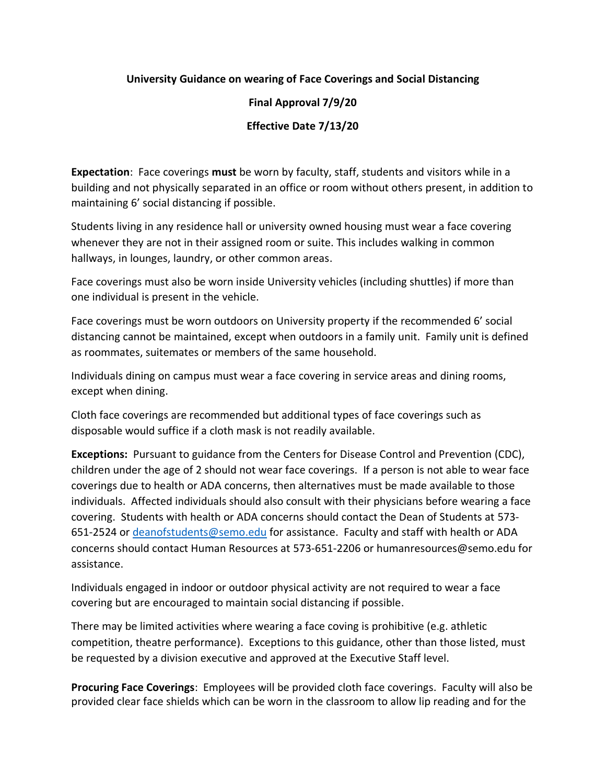## **University Guidance on wearing of Face Coverings and Social Distancing**

**Final Approval 7/9/20**

**Effective Date 7/13/20**

**Expectation**: Face coverings **must** be worn by faculty, staff, students and visitors while in a building and not physically separated in an office or room without others present, in addition to maintaining 6' social distancing if possible.

Students living in any residence hall or university owned housing must wear a face covering whenever they are not in their assigned room or suite. This includes walking in common hallways, in lounges, laundry, or other common areas.

Face coverings must also be worn inside University vehicles (including shuttles) if more than one individual is present in the vehicle.

Face coverings must be worn outdoors on University property if the recommended 6' social distancing cannot be maintained, except when outdoors in a family unit. Family unit is defined as roommates, suitemates or members of the same household.

Individuals dining on campus must wear a face covering in service areas and dining rooms, except when dining.

Cloth face coverings are recommended but additional types of face coverings such as disposable would suffice if a cloth mask is not readily available.

**Exceptions:** Pursuant to guidance from the Centers for Disease Control and Prevention (CDC), children under the age of 2 should not wear face coverings. If a person is not able to wear face coverings due to health or ADA concerns, then alternatives must be made available to those individuals. Affected individuals should also consult with their physicians before wearing a face covering. Students with health or ADA concerns should contact the Dean of Students at 573- 651-2524 or [deanofstudents@semo.edu](mailto:deanofstudents@semo.edu) for assistance. Faculty and staff with health or ADA concerns should contact Human Resources at 573-651-2206 or humanresources@semo.edu for assistance.

Individuals engaged in indoor or outdoor physical activity are not required to wear a face covering but are encouraged to maintain social distancing if possible.

There may be limited activities where wearing a face coving is prohibitive (e.g. athletic competition, theatre performance). Exceptions to this guidance, other than those listed, must be requested by a division executive and approved at the Executive Staff level.

**Procuring Face Coverings**: Employees will be provided cloth face coverings. Faculty will also be provided clear face shields which can be worn in the classroom to allow lip reading and for the